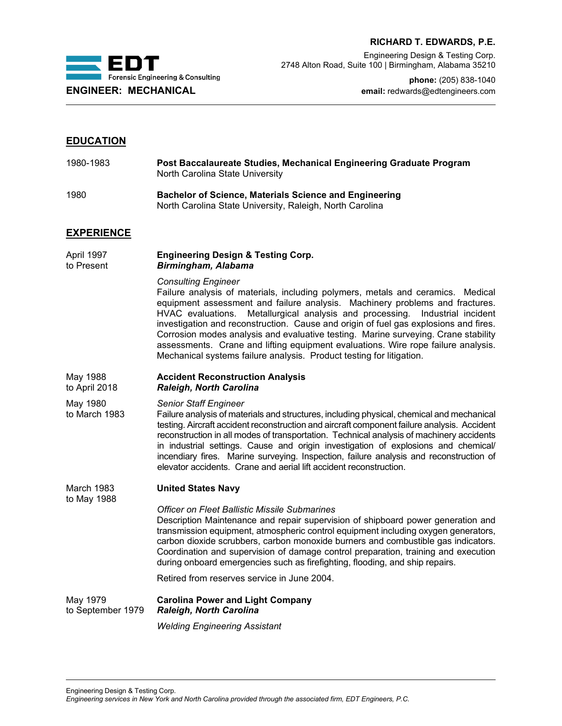



Engineering Design & Testing Corp. 2748 Alton Road, Suite 100 | Birmingham, Alabama 35210

**phone:** (205) 838-1040 **ENGINEER: MECHANICAL email:** redwards@edtengineers.com

# **EDUCATION**

| 1980-1983 | Post Baccalaureate Studies, Mechanical Engineering Graduate Program<br>North Carolina State University |
|-----------|--------------------------------------------------------------------------------------------------------|
|           |                                                                                                        |

1980 **Bachelor of Science, Materials Science and Engineering** North Carolina State University, Raleigh, North Carolina

# **EXPERIENCE**

April 1997 **Engineering Design & Testing Corp.** Birmingham, Alabama

## *Consulting Engineer*

Failure analysis of materials, including polymers, metals and ceramics. Medical equipment assessment and failure analysis. Machinery problems and fractures. HVAC evaluations. Metallurgical analysis and processing. Industrial incident investigation and reconstruction. Cause and origin of fuel gas explosions and fires. Corrosion modes analysis and evaluative testing. Marine surveying. Crane stability assessments. Crane and lifting equipment evaluations. Wire rope failure analysis. Mechanical systems failure analysis. Product testing for litigation.

## May 1988 **Accident Reconstruction Analysis** to April 2018 *Raleigh, North Carolina*

May 1980 *Senior Staff Engineer*

to March 1983 Failure analysis of materials and structures, including physical, chemical and mechanical testing. Aircraft accident reconstruction and aircraft component failure analysis. Accident reconstruction in all modes of transportation. Technical analysis of machinery accidents in industrial settings. Cause and origin investigation of explosions and chemical/ incendiary fires. Marine surveying. Inspection, failure analysis and reconstruction of elevator accidents. Crane and aerial lift accident reconstruction.

### March 1983 **United States Navy**

to May 1988

*Officer on Fleet Ballistic Missile Submarines* Description Maintenance and repair supervision of shipboard power generation and transmission equipment, atmospheric control equipment including oxygen generators, carbon dioxide scrubbers, carbon monoxide burners and combustible gas indicators. Coordination and supervision of damage control preparation, training and execution during onboard emergencies such as firefighting, flooding, and ship repairs.

Retired from reserves service in June 2004.

May 1979 **Carolina Power and Light Company** to September 1979 *Raleigh, North Carolina*

*Welding Engineering Assistant*